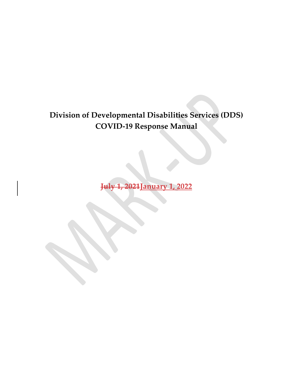### Division of Developmental Disabilities Services (DDS) COVID-19 Response Manual

July 1, 2021January 1, 2022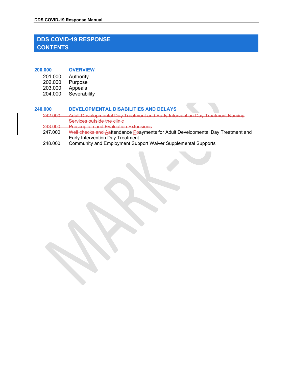### DDS COVID-19 Response Manual<br>DDS COVID-19 RESPONSE<br>CONTENTS DS COVID-19 Response Manual<br>DDS COVID-19 RESPONSE<br>CONTENTS<br>00.000 OVERVIEW **CONTENTS** DDS COVID-19 RESPONSE<br>
DDS COVID-19 RESPONSE<br>
CONTENTS<br>
200.000 OVERVIEW<br>
201.000 Authority<br>
202.000 Purpose<br>
203.000 Appeals<br>
204.000 Severability 202010-19 Response Manual<br>2012 COVID-19 RESPONSE<br>201.000 Authority<br>202.000 Purpose<br>203.000 Appeals<br>204.000 Severability COVID-19 Response Manual<br>
202.000 PURPOSE<br>
202.000 Authority<br>
202.000 Purpose<br>
203.000 Appeals<br>
204.000 Severability<br>
202.000 DEVELOPMENTAL DISABILITIES AND DELAYS

| 201.000 | Authority |
|---------|-----------|
| 202.000 | Purpose   |
| ous uuu | Annagle   |

204.000 Severability

### 240.000 DEVELOPMENTAL DISABILITIES AND DELAYS

- COVID-19 Response Manual<br>
2020 COVID-19 RESPONSE<br>
201.000 Authority<br>
201.000 Authority<br>
203.000 Appeals<br>
204.000 Appeals<br>
204.000 Severability<br>
202.000 Adult Developmental Day Treatment and Early Intervention Day Treatmen<br> 242.000 Adult Developmental Day Treatment and Early Intervention Day Treatment Nursing Services outside the clinic 243.000 Prescription and Evaluation Extensions<br>247.000 Well checks and Aattendance Peaymen Well checks and Aattendance Ppayments for Adult Developmental Day Treatment and Early Intervention Day Treatment
- 248.000 Community and Employment Support Waiver Supplemental Supports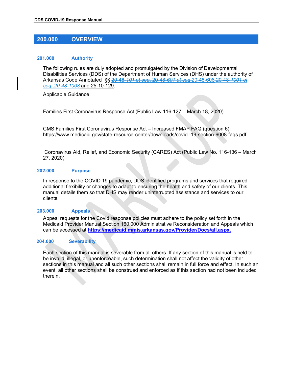# DDS COVID-19 Response Manual

### 201.000 Authority

200.000 OVERVIEW The following rules are duly adopted and promulgated by the Division of Developmental Disabilities Services (DDS) of the Department of Human Services (DHS) under the authority of Arkansas Code Annotated §§ 20-48-101 et seq, 20-48-601 et seq, 20-48-606-20-48-1001 et seg., 20-48-1003 and 25-10-129.

Applicable Guidance:

Families First Coronavirus Response Act (Public Law 116-127 – March 18, 2020)

CMS Families First Coronavirus Response Act – Increased FMAP FAQ (question 6): https://www.medicaid.gov/state-resource-center/downloads/covid -19-section-6008-faqs.pdf

 Coronavirus Aid, Relief, and Economic Security (CARES) Act (Public Law No. 116-136 – March 27, 2020)

### 202.000 Purpose

In response to the COVID 19 pandemic, DDS identified programs and services that required additional flexibility or changes to adapt to ensuring the health and safety of our clients. This manual details them so that DHS may render uninterrupted assistance and services to our clients.

### 203.000 Appeals

Appeal requests for the Covid response policies must adhere to the policy set forth in the Medicaid Provider Manual Section 160.000 Administrative Reconsideration and Appeals which can be accessed at https://medicaid.mmis.arkansas.gov/Provider/Docs/all.aspx.

### 204.000 Severability

Each section of this manual is severable from all others. If any section of this manual is held to be invalid, illegal, or unenforceable, such determination shall not affect the validity of other sections in this manual and all such other sections shall remain in full force and effect. In such an event, all other sections shall be construed and enforced as if this section had not been included therein.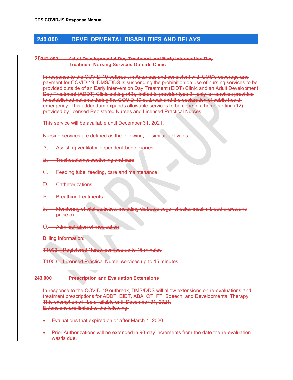# DDS COVID-19 Response Manual

### 240.000 DEVELOPMENTAL DISABILITIES AND DELAYS 26242.000 Adult Developmental Day Treatment and Early Intervention Day Treatment Nursing Services Outside Clinic

In response to the COVID-19 outbreak in Arkansas and consistent with CMS's coverage and payment for COVID-19, DMS/DDS is suspending the prohibition on use of nursing services to be provided outside of an Early Intervention Day Treatment (EIDT) Clinic and an Adult Development Day Treatment (ADDT) Clinic setting (49), limited to provider type 24 only for services provided to established patients during the COVID-19 outbreak and the declaration of public health emergency. This addendum expands allowable services to be done in a home setting (12) provided by licensed Registered Nurses and Licensed Practical Nurses.

This service will be available until December 31, 2021.

Nursing services are defined as the following, or similar, activities:

- A. Assisting ventilator-dependent beneficiaries
- B. Tracheostomy: suctioning and care
- C. Feeding tube: feeding, care and maintenance
- D. Catheterizations
- E. Breathing treatments
- F. Monitoring of vital statistics, including diabetes sugar checks, insulin, blood draws, and pulse ox
- G. Administration of medication
- Billing Information:
- T1002 Registered Nurse, services up to 15 minutes
- T1003 Licensed Practical Nurse, services up to 15 minutes

### 243.000 Prescription and Evaluation Extensions

In response to the COVID-19 outbreak, DMS/DDS will allow extensions on re-evaluations and treatment prescriptions for ADDT, EIDT, ABA, OT, PT, Speech, and Developmental Therapy. This exemption will be available until December 31, 2021. Extensions are limited to the following:

- Evaluations that expired on or after March 1, 2020.
- Prior Authorizations will be extended in 90-day increments from the date the re-evaluation was/is due.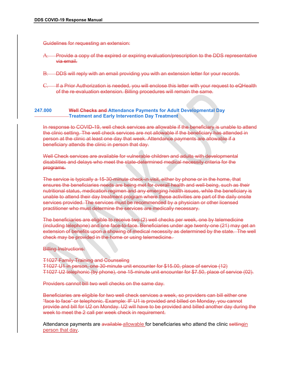DDS COVID-19 Response Manual Guidelines for requesting an extension:

- A. Provide a copy of the expired or expiring evaluation/prescription to the DDS representative via email.
- B. DDS will reply with an email providing you with an extension letter for your records.
- C. If a Prior Authorization is needed, you will enclose this letter with your request to eQHealth of the re-evaluation extension:<br>Provide a copy of the expired or expiring evaluation/prescription to the DDS representative<br>wia email.<br>DDS will reply with an email providing you with an extension letter for your records.<br>I
- 247.000 Well-Checks and Attendance Payments for Adult Developmental Day Treatment and Early Intervention Day Treatment

In response to COVID-19, well check services are allowable if the beneficiary is unable to attend the clinic setting. The well check services are not allowable if the beneficiary has attended in person at the clinic at least one day that week. Attendance payments are allowable if a beneficiary attends the clinic in person that day.

Well Check services are available for vulnerable children and adults with developmental disabilities and delays who meet the state-determined medical necessity criteria for the programs.

The service is typically a 15-30-minute check-in visit, either by phone or in the home, that ensures the beneficiaries needs are being met for overall health and well-being, such as their nutritional status, medication regimen and any emerging health issues, while the beneficiary is unable to attend their day treatment program where these activities are part of the daily onsite services provided. The services must be recommended by a physician or other licensed practitioner who must determine the services are medically necessary. extend to the Checks and Attendance Payments for Adult Developmental Day<br>
In response to COVID-19, well-check services are allowable if the beneficiary is unable to attend<br>
the elinie elting. The well-check services are no

The beneficiaries are eligible to receive two (2) well checks per week, one by telemedicine (including telephone) and one face-to-face. Beneficiaries under age twenty-one (21) may get an check may be provided in the home or using telemedicine.

### Billing Instructions:

T1027 Family Training and Counseling T1027 U1 in person, one 30-minute unit encounter for \$15.00, place of service (12) T1027 U2 telephonic (by phone), one 15-minute unit encounter for \$7.50, place of service (02).

Providers cannot bill two well checks on the same day.

Beneficiaries are eligible for two well check services a week, so providers can bill either one "face to face" or telephonic. Example: IF U1 is provided and billed on Monday, you cannot provide and bill for U2 on Monday. U2 will have to be provided and billed another day during the week to meet the 2 call per week check in requirement.

Attendance payments are available allowable for beneficiaries who attend the clinic settingin person that day.